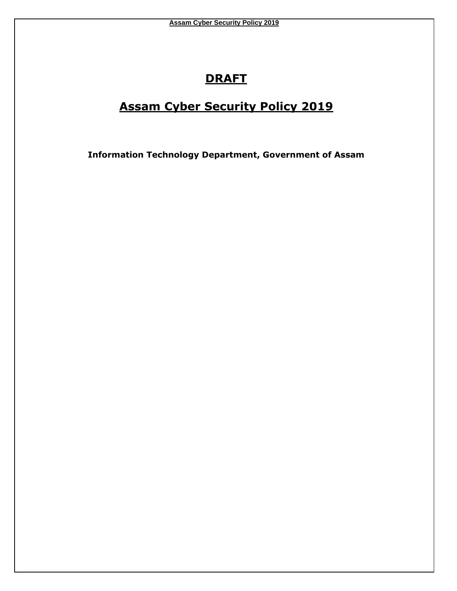# **DRAFT**

# **Assam Cyber Security Policy 2019**

**Information Technology Department, Government of Assam**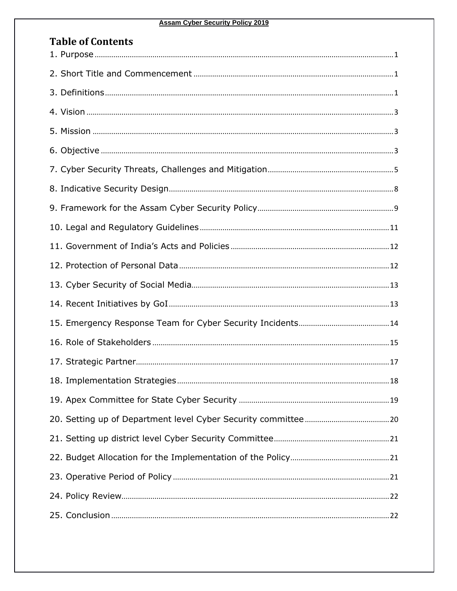#### **Assam Cyber Security Policy 2019**

| <b>Table of Contents</b> |  |
|--------------------------|--|
|                          |  |
|                          |  |
|                          |  |
|                          |  |
|                          |  |
|                          |  |
|                          |  |
|                          |  |
|                          |  |
|                          |  |
|                          |  |
|                          |  |
|                          |  |
|                          |  |
|                          |  |
|                          |  |
|                          |  |
|                          |  |
|                          |  |
|                          |  |
|                          |  |
|                          |  |
|                          |  |
|                          |  |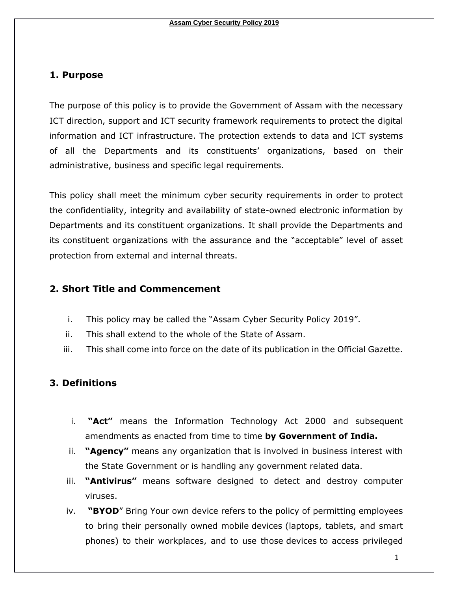### <span id="page-2-0"></span>**1. Purpose**

The purpose of this policy is to provide the Government of Assam with the necessary ICT direction, support and ICT security framework requirements to protect the digital information and ICT infrastructure. The protection extends to data and ICT systems of all the Departments and its constituents' organizations, based on their administrative, business and specific legal requirements.

This policy shall meet the minimum cyber security requirements in order to protect the confidentiality, integrity and availability of state-owned electronic information by Departments and its constituent organizations. It shall provide the Departments and its constituent organizations with the assurance and the "acceptable" level of asset protection from external and internal threats.

#### <span id="page-2-1"></span>**2. Short Title and Commencement**

- i. This policy may be called the "Assam Cyber Security Policy 2019".
- ii. This shall extend to the whole of the State of Assam.
- iii. This shall come into force on the date of its publication in the Official Gazette.

# <span id="page-2-2"></span>**3. Definitions**

- i. **"Act"** means the Information Technology Act 2000 and subsequent amendments as enacted from time to time **by Government of India.**
- ii. **"Agency"** means any organization that is involved in business interest with the State Government or is handling any government related data.
- iii. **"Antivirus"** means software designed to detect and destroy computer viruses.
- iv. **"BYOD**" Bring Your own device refers to the policy of permitting employees to bring their personally owned mobile devices (laptops, tablets, and smart phones) to their workplaces, and to use those devices to access privileged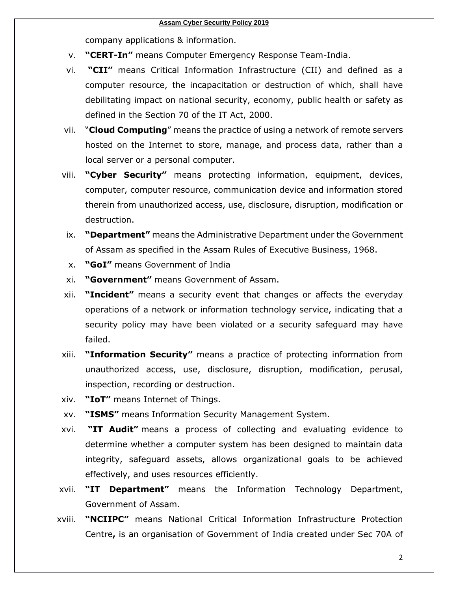company applications & information.

- v. **"CERT-In"** means Computer Emergency Response Team-India.
- vi. **"CII"** means Critical Information Infrastructure (CII) and defined as a computer resource, the incapacitation or destruction of which, shall have debilitating impact on national security, economy, public health or safety as defined in the Section 70 of the IT Act, 2000.
- vii. "**Cloud Computing**" means the practice of using a network of remote servers hosted on the Internet to store, manage, and process data, rather than a local server or a personal computer.
- viii. **"Cyber Security"** means protecting information, equipment, devices, computer, computer resource, communication device and information stored therein from unauthorized access, use, disclosure, disruption, modification or destruction.
- ix. **"Department"** means the Administrative Department under the Government of Assam as specified in the Assam Rules of Executive Business, 1968.
- x. **"GoI"** means Government of India
- xi. **"Government"** means Government of Assam.
- xii. **"Incident"** means a security event that changes or affects the everyday operations of a [network](http://searchnetworking.techtarget.com/definition/network) or information technology service, indicating that a [security policy](http://searchsecurity.techtarget.com/definition/security-policy) may have been violated or a security safeguard may have failed.
- xiii. **"Information Security"** means a practice of protecting information from unauthorized access, use, disclosure, disruption, modification, perusal, inspection, recording or destruction.
- xiv. **"IoT"** means Internet of Things.
- xv. **"ISMS"** means Information Security Management System.
- xvi. **"IT Audit"** means a process of collecting and evaluating evidence to determine whether a computer system has been designed to maintain data integrity, safeguard assets, allows organizational goals to be achieved effectively, and uses resources efficiently.
- xvii. **"IT Department"** means the Information Technology Department, Government of Assam.
- xviii. **"NCIIPC"** means National Critical Information Infrastructure Protection Centre**,** is an organisation of Government of India created under Sec 70A of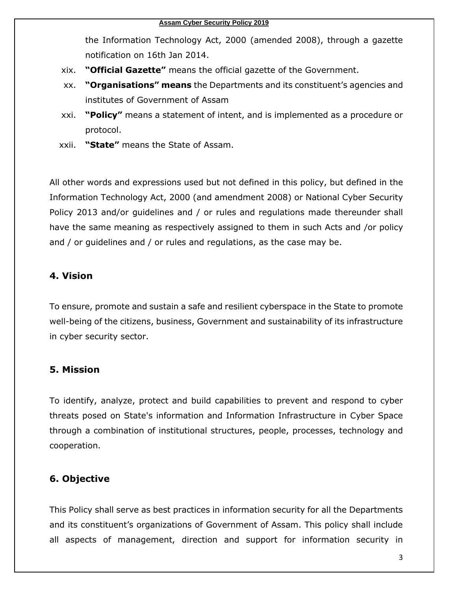the Information Technology Act, 2000 (amended 2008), through a gazette notification on 16th Jan 2014.

- xix. **"Official Gazette"** means the official gazette of the Government.
- xx. **"Organisations" means** the Departments and its constituent's agencies and institutes of Government of Assam
- xxi. **"Policy"** means a statement of intent, and is implemented as a procedure or protocol.
- xxii. **"State"** means the State of Assam.

All other words and expressions used but not defined in this policy, but defined in the Information Technology Act, 2000 (and amendment 2008) or National Cyber Security Policy 2013 and/or guidelines and / or rules and regulations made thereunder shall have the same meaning as respectively assigned to them in such Acts and /or policy and / or guidelines and / or rules and regulations, as the case may be.

#### <span id="page-4-0"></span>**4. Vision**

To ensure, promote and sustain a safe and resilient cyberspace in the State to promote well-being of the citizens, business, Government and sustainability of its infrastructure in cyber security sector.

#### <span id="page-4-1"></span>**5. Mission**

To identify, analyze, protect and build capabilities to prevent and respond to cyber threats posed on State's information and Information Infrastructure in Cyber Space through a combination of institutional structures, people, processes, technology and cooperation.

# <span id="page-4-2"></span>**6. Objective**

This Policy shall serve as best practices in information security for all the Departments and its constituent's organizations of Government of Assam. This policy shall include all aspects of management, direction and support for information security in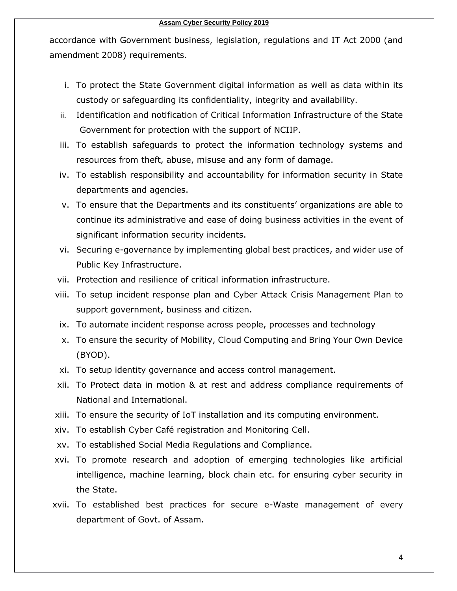accordance with Government business, legislation, regulations and IT Act 2000 (and amendment 2008) requirements.

- i. To protect the State Government digital information as well as data within its custody or safeguarding its confidentiality, integrity and availability.
- ii. Identification and notification of Critical Information Infrastructure of the State Government for protection with the support of NCIIP.
- iii. To establish safeguards to protect the information technology systems and resources from theft, abuse, misuse and any form of damage.
- iv. To establish responsibility and accountability for information security in State departments and agencies.
- v. To ensure that the Departments and its constituents' organizations are able to continue its administrative and ease of doing business activities in the event of significant information security incidents.
- vi. Securing e-governance by implementing global best practices, and wider use of Public Key Infrastructure.
- vii. Protection and resilience of critical information infrastructure.
- viii. To setup incident response plan and Cyber Attack Crisis Management Plan to support government, business and citizen.
- ix. To automate incident response across people, processes and technology
- x. To ensure the security of Mobility, Cloud Computing and Bring Your Own Device (BYOD).
- xi. To setup identity governance and access control management.
- xii. To Protect data in motion & at rest and address compliance requirements of National and International.
- xiii. To ensure the security of IoT installation and its computing environment.
- xiv. To establish Cyber Café registration and Monitoring Cell.
- xv. To established Social Media Regulations and Compliance.
- xvi. To promote research and adoption of emerging technologies like artificial intelligence, machine learning, block chain etc. for ensuring cyber security in the State.
- xvii. To established best practices for secure e-Waste management of every department of Govt. of Assam.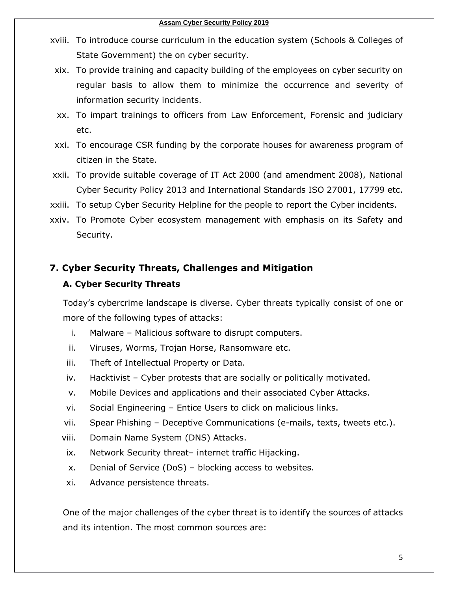- xviii. To introduce course curriculum in the education system (Schools & Colleges of State Government) the on cyber security.
- xix. To provide training and capacity building of the employees on cyber security on regular basis to allow them to minimize the occurrence and severity of information security incidents.
- xx. To impart trainings to officers from Law Enforcement, Forensic and judiciary etc.
- xxi. To encourage CSR funding by the corporate houses for awareness program of citizen in the State.
- xxii. To provide suitable coverage of IT Act 2000 (and amendment 2008), National Cyber Security Policy 2013 and International Standards ISO 27001, 17799 etc.
- xxiii. To setup Cyber Security Helpline for the people to report the Cyber incidents.
- xxiv. To Promote Cyber ecosystem management with emphasis on its Safety and Security.

#### <span id="page-6-0"></span>**7. Cyber Security Threats, Challenges and Mitigation**

#### **A. Cyber Security Threats**

Today's cybercrime landscape is diverse. Cyber threats typically consist of one or more of the following types of attacks:

- i. Malware Malicious software to disrupt computers.
- ii. Viruses, Worms, Trojan Horse, Ransomware etc.
- iii. Theft of Intellectual Property or Data.
- iv. Hacktivist Cyber protests that are socially or politically motivated.
- v. Mobile Devices and applications and their associated Cyber Attacks.
- vi. Social Engineering Entice Users to click on malicious links.
- vii. Spear Phishing Deceptive Communications (e-mails, texts, tweets etc.).
- viii. Domain Name System (DNS) Attacks.
- ix. Network Security threat– internet traffic Hijacking.
- x. Denial of Service (DoS) blocking access to websites.
- xi. Advance persistence threats.

One of the major challenges of the cyber threat is to identify the sources of attacks and its intention. The most common sources are: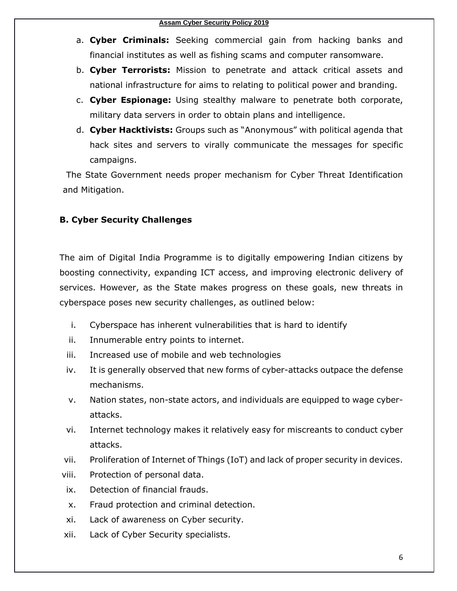- a. **Cyber Criminals:** Seeking commercial gain from hacking banks and financial institutes as well as fishing scams and computer ransomware.
- b. **Cyber Terrorists:** Mission to penetrate and attack critical assets and national infrastructure for aims to relating to political power and branding.
- c. **Cyber Espionage:** Using stealthy malware to penetrate both corporate, military data servers in order to obtain plans and intelligence.
- d. **Cyber Hacktivists:** Groups such as "Anonymous" with political agenda that hack sites and servers to virally communicate the messages for specific campaigns.

The State Government needs proper mechanism for Cyber Threat Identification and Mitigation.

# **B. Cyber Security Challenges**

The aim of Digital India Programme is to digitally empowering Indian citizens by boosting connectivity, expanding ICT access, and improving electronic delivery of services. However, as the State makes progress on these goals, new threats in cyberspace poses new security challenges, as outlined below:

- i. Cyberspace has inherent vulnerabilities that is hard to identify
- ii. Innumerable entry points to internet.
- iii. Increased use of mobile and web technologies
- iv. It is generally observed that new forms of cyber-attacks outpace the defense mechanisms.
- v. Nation states, non-state actors, and individuals are equipped to wage cyberattacks.
- vi. Internet technology makes it relatively easy for miscreants to conduct cyber attacks.
- vii. Proliferation of Internet of Things (IoT) and lack of proper security in devices.
- viii. Protection of personal data.
- ix. Detection of financial frauds.
- x. Fraud protection and criminal detection.
- xi. Lack of awareness on Cyber security.
- xii. Lack of Cyber Security specialists.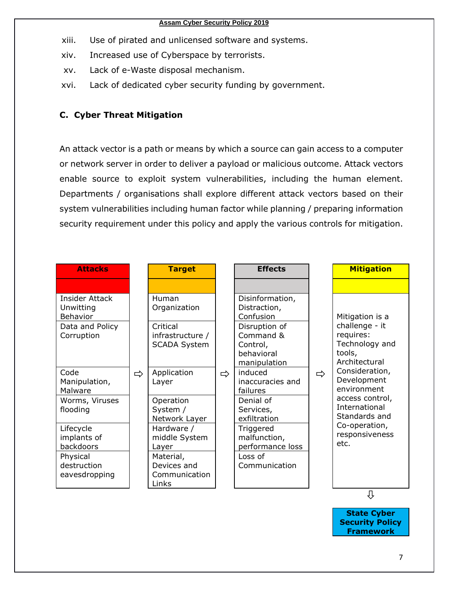#### **Assam Cyber Security Policy 2019**

- xiii. Use of pirated and unlicensed software and systems.
- xiv. Increased use of Cyberspace by terrorists.
- xv. Lack of e-Waste disposal mechanism.
- xvi. Lack of dedicated cyber security funding by government.

### **C. Cyber Threat Mitigation**

An attack vector is a path or means by which a source can gain access to a computer or network server in order to deliver a [payload](https://searchsecurity.techtarget.com/definition/payload) or malicious outcome. Attack vectors enable source to exploit system vulnerabilities, including the human element. Departments / organisations shall explore different attack vectors based on their system vulnerabilities including human factor while planning / preparing information security requirement under this policy and apply the various controls for mitigation.

| <b>Attacks</b>                                 |   | <b>Target</b>                                                                                |                                                                      | <b>Effects</b>                                |                                                                          | <b>Mitigation</b>                                                                                                                            |
|------------------------------------------------|---|----------------------------------------------------------------------------------------------|----------------------------------------------------------------------|-----------------------------------------------|--------------------------------------------------------------------------|----------------------------------------------------------------------------------------------------------------------------------------------|
|                                                |   |                                                                                              |                                                                      |                                               |                                                                          |                                                                                                                                              |
| <b>Insider Attack</b><br>Unwitting<br>Behavior |   | Human<br>Organization                                                                        |                                                                      | Disinformation,<br>Distraction,<br>Confusion  |                                                                          | Mitigation is a                                                                                                                              |
| Data and Policy<br>Corruption                  |   | Critical<br>infrastructure /<br><b>SCADA System</b><br>Application<br>$\Rightarrow$<br>Layer | Disruption of<br>Command &<br>Control,<br>behavioral<br>manipulation |                                               | challenge - it<br>requires:<br>Technology and<br>tools,<br>Architectural |                                                                                                                                              |
| Code<br>Manipulation,<br>Malware               | ⇨ |                                                                                              |                                                                      | induced<br>inaccuracies and<br>failures       | $\Rightarrow$                                                            | Consideration,<br>Development<br>environment<br>access control,<br>International<br>Standards and<br>Co-operation,<br>responsiveness<br>etc. |
| Worms, Viruses<br>flooding                     |   | Operation<br>System /<br>Network Layer                                                       |                                                                      | Denial of<br>Services,<br>exfiltration        |                                                                          |                                                                                                                                              |
| Lifecycle<br>implants of<br>backdoors          |   | Hardware /<br>middle System<br>Layer                                                         |                                                                      | Triggered<br>malfunction,<br>performance loss |                                                                          |                                                                                                                                              |
| Physical<br>destruction<br>eavesdropping       |   | Material,<br>Devices and<br>Communication<br>Links                                           |                                                                      | Loss of<br>Communication                      |                                                                          |                                                                                                                                              |
|                                                |   |                                                                                              |                                                                      |                                               |                                                                          | ſ                                                                                                                                            |

**State Cyber Security Policy Framework**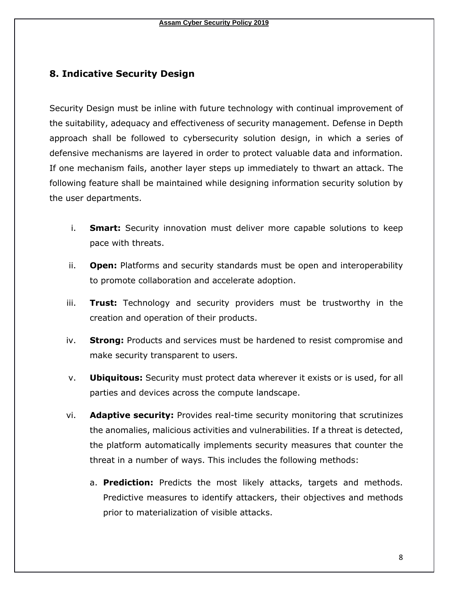#### <span id="page-9-0"></span>**8. Indicative Security Design**

Security Design must be inline with future technology with continual improvement of the suitability, adequacy and effectiveness of security management. Defense in Depth approach shall be followed to cybersecurity solution design, in which a series of defensive mechanisms are layered in order to protect valuable data and information. If one mechanism fails, another layer steps up immediately to thwart an attack. The following feature shall be maintained while designing information security solution by the user departments.

- i. **Smart:** Security innovation must deliver more capable solutions to keep pace with threats.
- ii. **Open:** Platforms and security standards must be open and interoperability to promote collaboration and accelerate adoption.
- iii. **Trust:** Technology and security providers must be trustworthy in the creation and operation of their products.
- iv. **Strong:** Products and services must be hardened to resist compromise and make security transparent to users.
- v. **Ubiquitous:** Security must protect data wherever it exists or is used, for all parties and devices across the compute landscape.
- vi. **Adaptive security:** Provides real-time security monitoring that scrutinizes the anomalies, malicious activities and vulnerabilities. If a threat is detected, the platform automatically implements security measures that counter the threat in a number of ways. This includes the following methods:
	- a. **Prediction:** Predicts the most likely attacks, targets and methods. Predictive measures to identify attackers, their objectives and methods prior to materialization of visible attacks.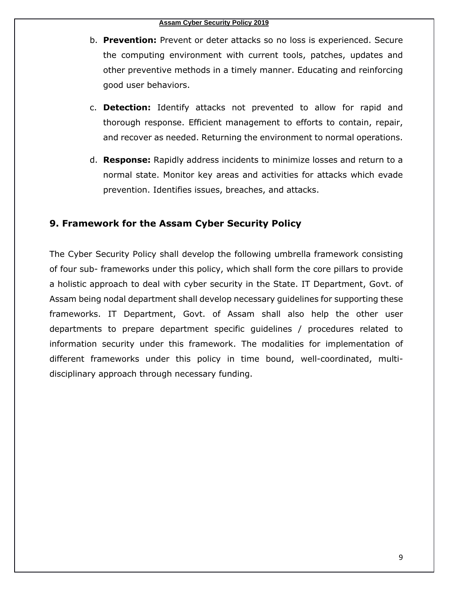- b. **Prevention:** Prevent or deter attacks so no loss is experienced. Secure the computing environment with current tools, patches, updates and other preventive methods in a timely manner. Educating and reinforcing good user behaviors.
- c. **Detection:** Identify attacks not prevented to allow for rapid and thorough response. Efficient management to efforts to contain, repair, and recover as needed. Returning the environment to normal operations.
- d. **Response:** Rapidly address incidents to minimize losses and return to a normal state. Monitor key areas and activities for attacks which evade prevention. Identifies issues, breaches, and attacks.

### <span id="page-10-0"></span>**9. Framework for the Assam Cyber Security Policy**

The Cyber Security Policy shall develop the following umbrella framework consisting of four sub- frameworks under this policy, which shall form the core pillars to provide a holistic approach to deal with cyber security in the State. IT Department, Govt. of Assam being nodal department shall develop necessary guidelines for supporting these frameworks. IT Department, Govt. of Assam shall also help the other user departments to prepare department specific guidelines / procedures related to information security under this framework. The modalities for implementation of different frameworks under this policy in time bound, well-coordinated, multidisciplinary approach through necessary funding.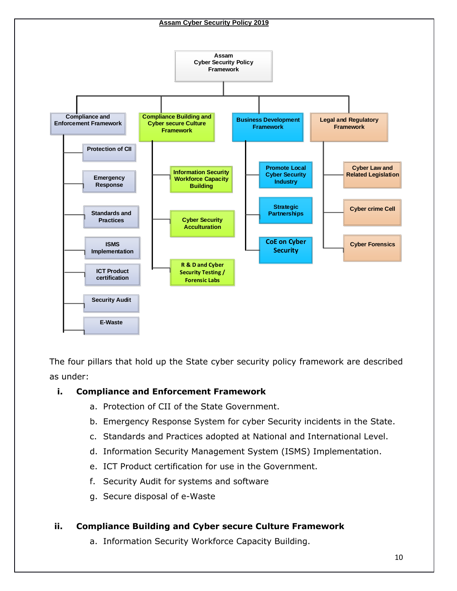

The four pillars that hold up the State cyber security policy framework are described as under:

#### **i. Compliance and Enforcement Framework**

- a. Protection of CII of the State Government.
- b. Emergency Response System for cyber Security incidents in the State.
- c. Standards and Practices adopted at National and International Level.
- d. Information Security Management System (ISMS) Implementation.
- e. ICT Product certification for use in the Government.
- f. Security Audit for systems and software
- g. Secure disposal of e-Waste

#### **ii. Compliance Building and Cyber secure Culture Framework**

a. Information Security Workforce Capacity Building.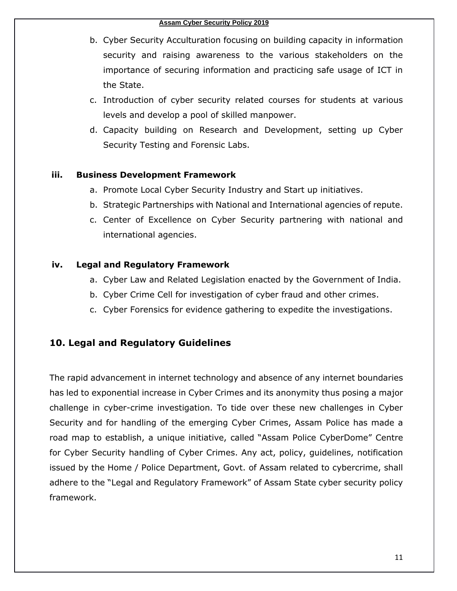- b. Cyber Security Acculturation focusing on building capacity in information security and raising awareness to the various stakeholders on the importance of securing information and practicing safe usage of ICT in the State.
- c. Introduction of cyber security related courses for students at various levels and develop a pool of skilled manpower.
- d. Capacity building on Research and Development, setting up Cyber Security Testing and Forensic Labs.

#### **iii. Business Development Framework**

- a. Promote Local Cyber Security Industry and Start up initiatives.
- b. Strategic Partnerships with National and International agencies of repute.
- c. Center of Excellence on Cyber Security partnering with national and international agencies.

#### **iv. Legal and Regulatory Framework**

- a. Cyber Law and Related Legislation enacted by the Government of India.
- b. Cyber Crime Cell for investigation of cyber fraud and other crimes.
- c. Cyber Forensics for evidence gathering to expedite the investigations.

# <span id="page-12-0"></span>**10. Legal and Regulatory Guidelines**

The rapid advancement in internet technology and absence of any internet boundaries has led to exponential increase in Cyber Crimes and its anonymity thus posing a major challenge in cyber-crime investigation. To tide over these new challenges in Cyber Security and for handling of the emerging Cyber Crimes, Assam Police has made a road map to establish, a unique initiative, called "Assam Police CyberDome" Centre for Cyber Security handling of Cyber Crimes. Any act, policy, guidelines, notification issued by the Home / Police Department, Govt. of Assam related to cybercrime, shall adhere to the "Legal and Regulatory Framework" of Assam State cyber security policy framework.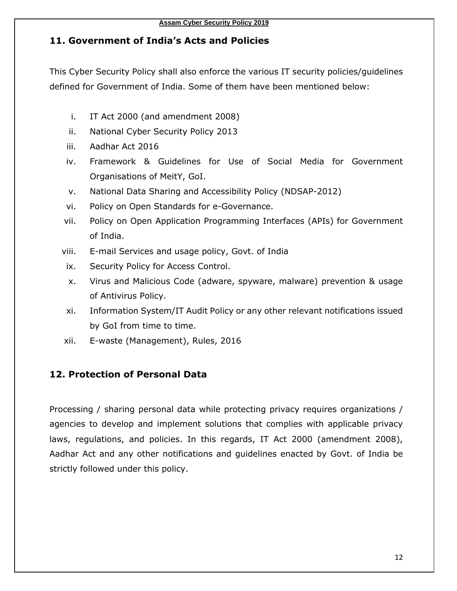# <span id="page-13-0"></span>**11. Government of India's Acts and Policies**

This Cyber Security Policy shall also enforce the various IT security policies/guidelines defined for Government of India. Some of them have been mentioned below:

- i. IT Act 2000 (and amendment 2008)
- ii. National Cyber Security Policy 2013
- iii. Aadhar Act 2016
- iv. Framework & Guidelines for Use of Social Media for Government Organisations of MeitY, GoI.
- v. National Data Sharing and Accessibility Policy (NDSAP-2012)
- vi. Policy on Open Standards for e-Governance.
- vii. Policy on Open Application Programming Interfaces (APIs) for Government of India.
- viii. E-mail Services and usage policy, Govt. of India
- ix. Security Policy for Access Control.
- x. Virus and Malicious Code (adware, spyware, malware) prevention & usage of Antivirus Policy.
- xi. Information System/IT Audit Policy or any other relevant notifications issued by GoI from time to time.
- xii. E-waste (Management), Rules, 2016

# <span id="page-13-1"></span>**12. Protection of Personal Data**

Processing / sharing personal data while protecting privacy requires organizations / agencies to develop and implement solutions that complies with applicable privacy laws, regulations, and policies. In this regards, IT Act 2000 (amendment 2008), Aadhar Act and any other notifications and guidelines enacted by Govt. of India be strictly followed under this policy.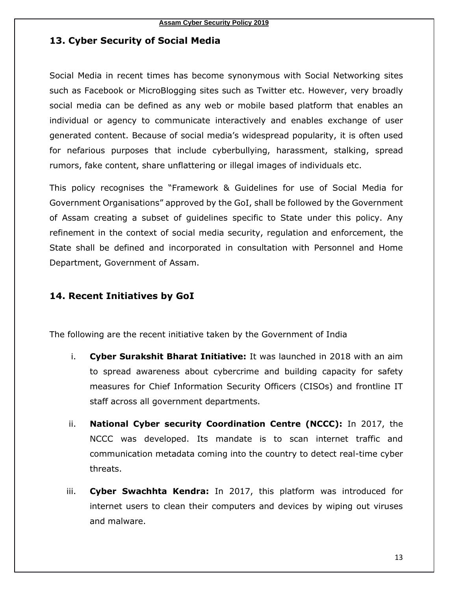# <span id="page-14-0"></span>**13. Cyber Security of Social Media**

Social Media in recent times has become synonymous with Social Networking sites such as Facebook or MicroBlogging sites such as Twitter etc. However, very broadly social media can be defined as any web or mobile based platform that enables an individual or agency to communicate interactively and enables exchange of user generated content. Because of social media's widespread popularity, it is often used for nefarious purposes that include cyberbullying, harassment, stalking, spread rumors, fake content, share unflattering or illegal images of individuals etc.

This policy recognises the "Framework & Guidelines for use of Social Media for Government Organisations" approved by the GoI, shall be followed by the Government of Assam creating a subset of guidelines specific to State under this policy. Any refinement in the context of social media security, regulation and enforcement, the State shall be defined and incorporated in consultation with Personnel and Home Department, Government of Assam.

# <span id="page-14-1"></span>**14. Recent Initiatives by GoI**

The following are the recent initiative taken by the Government of India

- i. **Cyber Surakshit Bharat Initiative:** It was launched in 2018 with an aim to spread awareness about cybercrime and building capacity for safety measures for Chief Information Security Officers (CISOs) and frontline IT staff across all government departments.
- ii. **National Cyber security Coordination Centre (NCCC):** In 2017, the NCCC was developed. Its mandate is to scan internet traffic and communication metadata coming into the country to detect real-time cyber threats.
- iii. **Cyber Swachhta Kendra:** In 2017, this platform was introduced for internet users to clean their computers and devices by wiping out viruses and malware.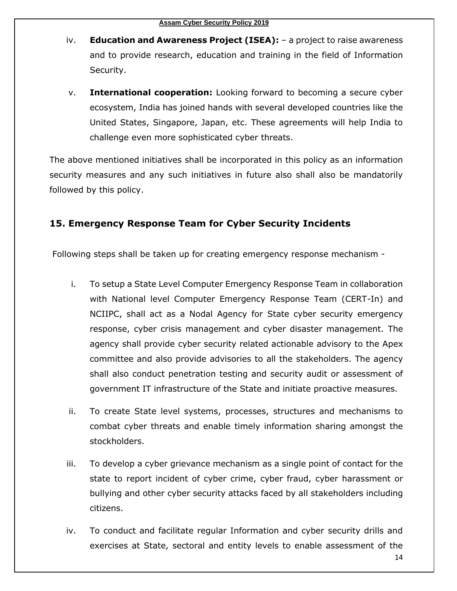- iv. **Education and Awareness Project (ISEA):** a project to raise awareness and to provide research, education and training in the field of Information Security.
- v. **International cooperation:** Looking forward to becoming a secure cyber ecosystem, India has joined hands with several developed countries like the United States, Singapore, Japan, etc. These agreements will help India to challenge even more sophisticated cyber threats.

The above mentioned initiatives shall be incorporated in this policy as an information security measures and any such initiatives in future also shall also be mandatorily followed by this policy.

# <span id="page-15-0"></span>**15. Emergency Response Team for Cyber Security Incidents**

Following steps shall be taken up for creating emergency response mechanism -

- i. To setup a State Level Computer Emergency Response Team in collaboration with National level Computer Emergency Response Team (CERT-In) and NCIIPC, shall act as a Nodal Agency for State cyber security emergency response, cyber crisis management and cyber disaster management. The agency shall provide cyber security related actionable advisory to the Apex committee and also provide advisories to all the stakeholders. The agency shall also conduct penetration testing and security audit or assessment of government IT infrastructure of the State and initiate proactive measures.
- ii. To create State level systems, processes, structures and mechanisms to combat cyber threats and enable timely information sharing amongst the stockholders.
- iii. To develop a cyber grievance mechanism as a single point of contact for the state to report incident of cyber crime, cyber fraud, cyber harassment or bullying and other cyber security attacks faced by all stakeholders including citizens.
- iv. To conduct and facilitate regular Information and cyber security drills and exercises at State, sectoral and entity levels to enable assessment of the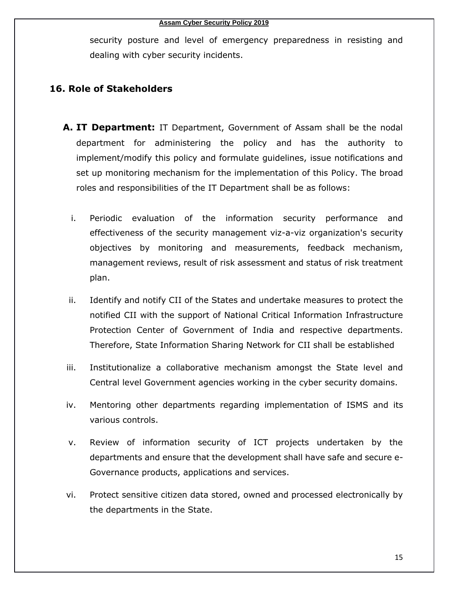security posture and level of emergency preparedness in resisting and dealing with cyber security incidents.

#### <span id="page-16-0"></span>**16. Role of Stakeholders**

- **A. IT Department:** IT Department, Government of Assam shall be the nodal department for administering the policy and has the authority to implement/modify this policy and formulate guidelines, issue notifications and set up monitoring mechanism for the implementation of this Policy. The broad roles and responsibilities of the IT Department shall be as follows:
	- i. Periodic evaluation of the information security performance and effectiveness of the security management viz-a-viz organization's security objectives by monitoring and measurements, feedback mechanism, management reviews, result of risk assessment and status of risk treatment plan.
	- ii. Identify and notify CII of the States and undertake measures to protect the notified CII with the support of National Critical Information Infrastructure Protection Center of Government of India and respective departments. Therefore, State Information Sharing Network for CII shall be established
- iii. Institutionalize a collaborative mechanism amongst the State level and Central level Government agencies working in the cyber security domains.
- iv. Mentoring other departments regarding implementation of ISMS and its various controls.
- v. Review of information security of ICT projects undertaken by the departments and ensure that the development shall have safe and secure e-Governance products, applications and services.
- vi. Protect sensitive citizen data stored, owned and processed electronically by the departments in the State.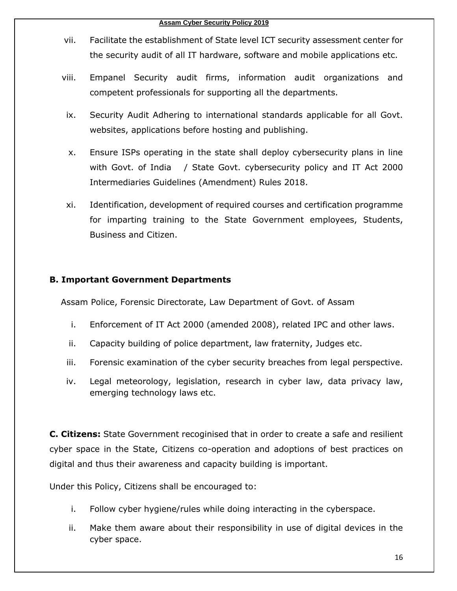- vii. Facilitate the establishment of State level ICT security assessment center for the security audit of all IT hardware, software and mobile applications etc.
- viii. Empanel Security audit firms, information audit organizations and competent professionals for supporting all the departments.
- ix. Security Audit Adhering to international standards applicable for all Govt. websites, applications before hosting and publishing.
- x. Ensure ISPs operating in the state shall deploy cybersecurity plans in line with Govt. of India / State Govt. cybersecurity policy and IT Act 2000 Intermediaries Guidelines (Amendment) Rules 2018.
- xi. Identification, development of required courses and certification programme for imparting training to the State Government employees, Students, Business and Citizen.

#### **B. Important Government Departments**

Assam Police, Forensic Directorate, Law Department of Govt. of Assam

- i. Enforcement of IT Act 2000 (amended 2008), related IPC and other laws.
- ii. Capacity building of police department, law fraternity, Judges etc.
- iii. Forensic examination of the cyber security breaches from legal perspective.
- iv. Legal meteorology, legislation, research in cyber law, data privacy law, emerging technology laws etc.

**C. Citizens:** State Government recoginised that in order to create a safe and resilient cyber space in the State, Citizens co-operation and adoptions of best practices on digital and thus their awareness and capacity building is important.

Under this Policy, Citizens shall be encouraged to:

- i. Follow cyber hygiene/rules while doing interacting in the cyberspace.
- ii. Make them aware about their responsibility in use of digital devices in the cyber space.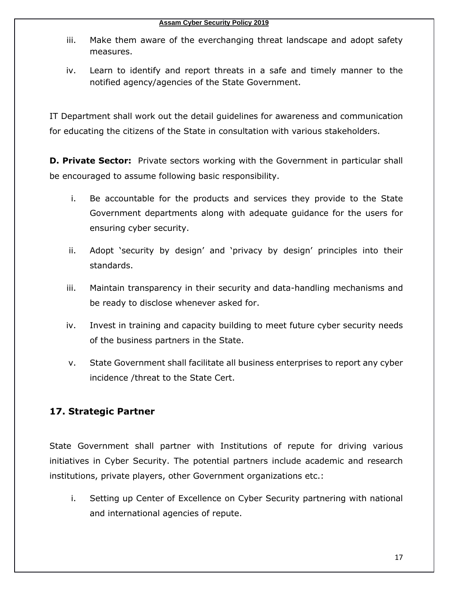- iii. Make them aware of the everchanging threat landscape and adopt safety measures.
- iv. Learn to identify and report threats in a safe and timely manner to the notified agency/agencies of the State Government.

IT Department shall work out the detail guidelines for awareness and communication for educating the citizens of the State in consultation with various stakeholders.

**D. Private Sector:** Private sectors working with the Government in particular shall be encouraged to assume following basic responsibility.

- i. Be accountable for the products and services they provide to the State Government departments along with adequate guidance for the users for ensuring cyber security.
- ii. Adopt 'security by design' and 'privacy by design' principles into their standards.
- iii. Maintain transparency in their security and data-handling mechanisms and be ready to disclose whenever asked for.
- iv. Invest in training and capacity building to meet future cyber security needs of the business partners in the State.
- v. State Government shall facilitate all business enterprises to report any cyber incidence /threat to the State Cert.

# <span id="page-18-0"></span>**17. Strategic Partner**

State Government shall partner with Institutions of repute for driving various initiatives in Cyber Security. The potential partners include academic and research institutions, private players, other Government organizations etc.:

i. Setting up Center of Excellence on Cyber Security partnering with national and international agencies of repute.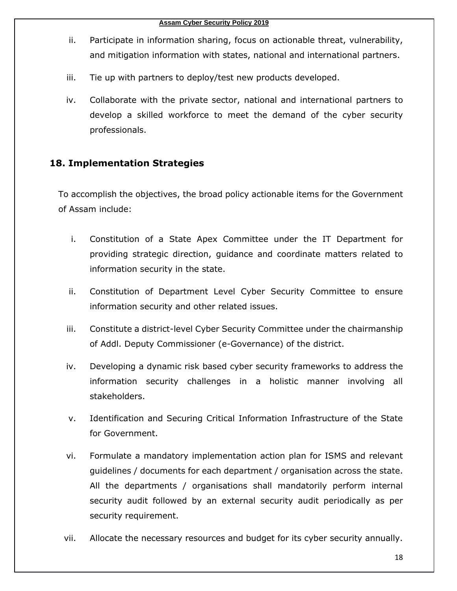- ii. Participate in information sharing, focus on actionable threat, vulnerability, and mitigation information with states, national and international partners.
- iii. Tie up with partners to deploy/test new products developed.
- iv. Collaborate with the private sector, national and international partners to develop a skilled workforce to meet the demand of the cyber security professionals.

# <span id="page-19-0"></span>**18. Implementation Strategies**

To accomplish the objectives, the broad policy actionable items for the Government of Assam include:

- i. Constitution of a State Apex Committee under the IT Department for providing strategic direction, guidance and coordinate matters related to information security in the state.
- ii. Constitution of Department Level Cyber Security Committee to ensure information security and other related issues.
- iii. Constitute a district-level Cyber Security Committee under the chairmanship of Addl. Deputy Commissioner (e-Governance) of the district.
- iv. Developing a dynamic risk based cyber security frameworks to address the information security challenges in a holistic manner involving all stakeholders.
- v. Identification and Securing Critical Information Infrastructure of the State for Government.
- vi. Formulate a mandatory implementation action plan for ISMS and relevant guidelines / documents for each department / organisation across the state. All the departments / organisations shall mandatorily perform internal security audit followed by an external security audit periodically as per security requirement.
- vii. Allocate the necessary resources and budget for its cyber security annually.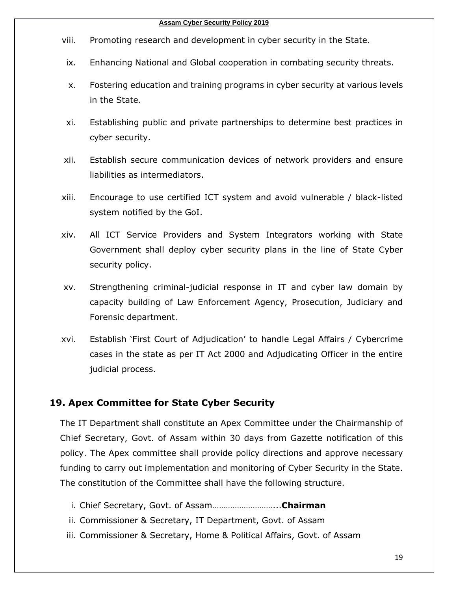#### **Assam Cyber Security Policy 2019**

- viii. Promoting research and development in cyber security in the State.
- ix. Enhancing National and Global cooperation in combating security threats.
- x. Fostering education and training programs in cyber security at various levels in the State.
- xi. Establishing public and private partnerships to determine best practices in cyber security.
- xii. Establish secure communication devices of network providers and ensure liabilities as intermediators.
- xiii. Encourage to use certified ICT system and avoid vulnerable / black-listed system notified by the GoI.
- xiv. All ICT Service Providers and System Integrators working with State Government shall deploy cyber security plans in the line of State Cyber security policy.
- xv. Strengthening criminal-judicial response in IT and cyber law domain by capacity building of Law Enforcement Agency, Prosecution, Judiciary and Forensic department.
- xvi. Establish 'First Court of Adjudication' to handle Legal Affairs / Cybercrime cases in the state as per IT Act 2000 and Adjudicating Officer in the entire judicial process.

# <span id="page-20-0"></span>**19. Apex Committee for State Cyber Security**

The IT Department shall constitute an Apex Committee under the Chairmanship of Chief Secretary, Govt. of Assam within 30 days from Gazette notification of this policy. The Apex committee shall provide policy directions and approve necessary funding to carry out implementation and monitoring of Cyber Security in the State. The constitution of the Committee shall have the following structure.

- i. Chief Secretary, Govt. of Assam………………………...**Chairman**
- ii. Commissioner & Secretary, IT Department, Govt. of Assam
- iii. Commissioner & Secretary, Home & Political Affairs, Govt. of Assam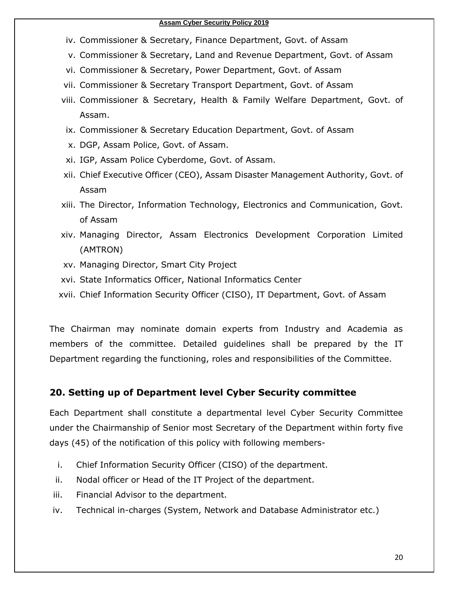#### **Assam Cyber Security Policy 2019**

- iv. Commissioner & Secretary, Finance Department, Govt. of Assam
- v. Commissioner & Secretary, Land and Revenue Department, Govt. of Assam
- vi. Commissioner & Secretary, Power Department, Govt. of Assam
- vii. Commissioner & Secretary Transport Department, Govt. of Assam
- viii. Commissioner & Secretary, Health & Family Welfare Department, Govt. of Assam.
- ix. Commissioner & Secretary Education Department, Govt. of Assam
- x. DGP, Assam Police, Govt. of Assam.
- xi. IGP, Assam Police Cyberdome, Govt. of Assam.
- xii. Chief Executive Officer (CEO), Assam Disaster Management Authority, Govt. of Assam
- xiii. The Director, Information Technology, Electronics and Communication, Govt. of Assam
- xiv. Managing Director, Assam Electronics Development Corporation Limited (AMTRON)
- xv. Managing Director, Smart City Project
- xvi. State Informatics Officer, National Informatics Center
- xvii. Chief Information Security Officer (CISO), IT Department, Govt. of Assam

The Chairman may nominate domain experts from Industry and Academia as members of the committee. Detailed guidelines shall be prepared by the IT Department regarding the functioning, roles and responsibilities of the Committee.

#### <span id="page-21-0"></span>**20. Setting up of Department level Cyber Security committee**

Each Department shall constitute a departmental level Cyber Security Committee under the Chairmanship of Senior most Secretary of the Department within forty five days (45) of the notification of this policy with following members-

- i. Chief Information Security Officer (CISO) of the department.
- ii. Nodal officer or Head of the IT Project of the department.
- iii. Financial Advisor to the department.
- iv. Technical in-charges (System, Network and Database Administrator etc.)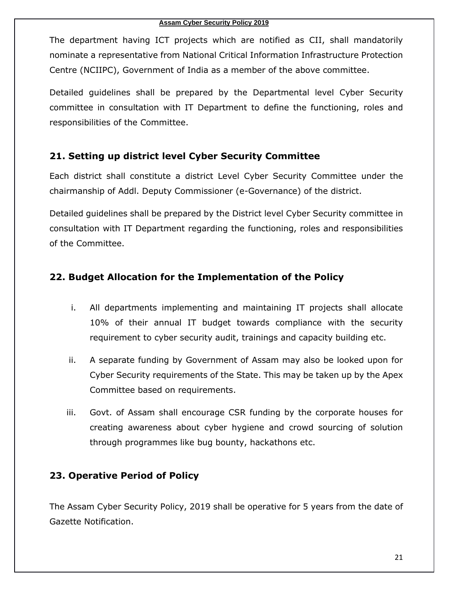The department having ICT projects which are notified as CII, shall mandatorily nominate a representative from National Critical Information Infrastructure Protection Centre (NCIIPC), Government of India as a member of the above committee.

Detailed guidelines shall be prepared by the Departmental level Cyber Security committee in consultation with IT Department to define the functioning, roles and responsibilities of the Committee.

# <span id="page-22-0"></span>**21. Setting up district level Cyber Security Committee**

Each district shall constitute a district Level Cyber Security Committee under the chairmanship of Addl. Deputy Commissioner (e-Governance) of the district.

Detailed guidelines shall be prepared by the District level Cyber Security committee in consultation with IT Department regarding the functioning, roles and responsibilities of the Committee.

# <span id="page-22-1"></span>**22. Budget Allocation for the Implementation of the Policy**

- i. All departments implementing and maintaining IT projects shall allocate 10% of their annual IT budget towards compliance with the security requirement to cyber security audit, trainings and capacity building etc.
- ii. A separate funding by Government of Assam may also be looked upon for Cyber Security requirements of the State. This may be taken up by the Apex Committee based on requirements.
- iii. Govt. of Assam shall encourage CSR funding by the corporate houses for creating awareness about cyber hygiene and crowd sourcing of solution through programmes like bug bounty, hackathons etc.

# <span id="page-22-2"></span>**23. Operative Period of Policy**

The Assam Cyber Security Policy, 2019 shall be operative for 5 years from the date of Gazette Notification.